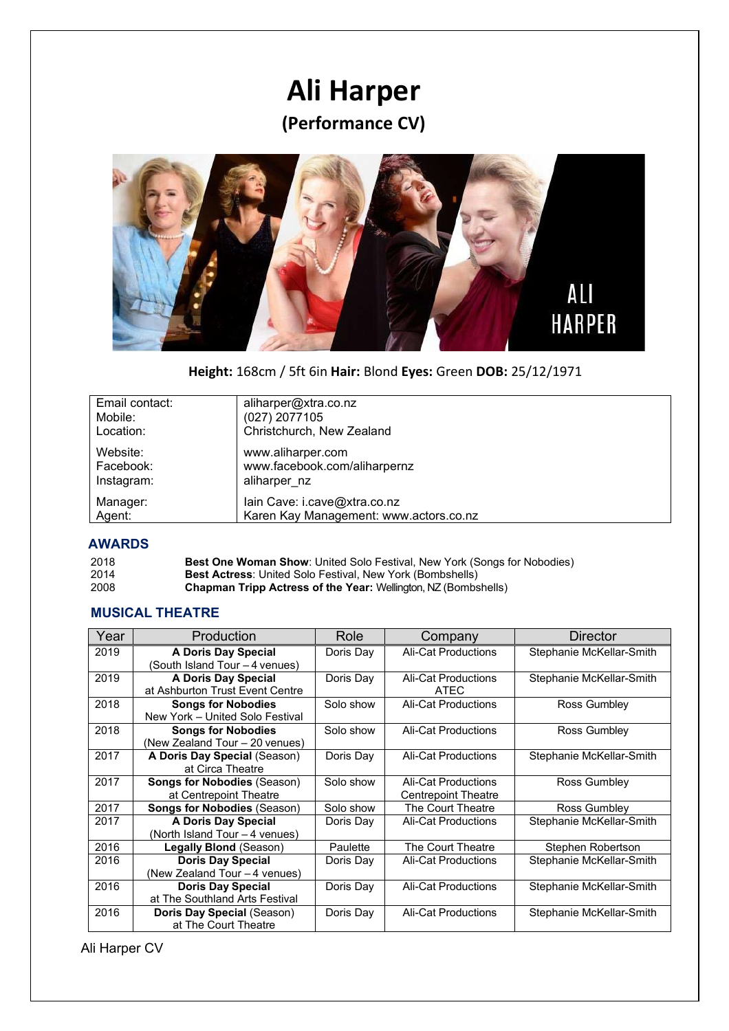# **Ali Harper (Performance CV)**



# **Height:** 168cm / 5ft 6in **Hair:** Blond **Eyes:** Green **DOB:** 25/12/1971

| Email contact: | aliharper@xtra.co.nz                   |
|----------------|----------------------------------------|
| Mobile:        | (027) 2077105                          |
| Location:      | Christchurch, New Zealand              |
| Website:       | www.aliharper.com                      |
| Facebook:      | www.facebook.com/aliharpernz           |
| Instagram:     | aliharper nz                           |
| Manager:       | lain Cave: i.cave@xtra.co.nz           |
| Agent:         | Karen Kay Management: www.actors.co.nz |

### **AWARDS**

| 2018 | <b>Best One Woman Show:</b> United Solo Festival, New York (Songs for Nobodies) |
|------|---------------------------------------------------------------------------------|
| 2014 | <b>Best Actress:</b> United Solo Festival, New York (Bombshells)                |
| 2008 | <b>Chapman Tripp Actress of the Year:</b> Wellington, NZ (Bombshells)           |

# **MUSICAL THEATRE**

| Year | Production                                                   | Role      | Company                                           | Director                 |
|------|--------------------------------------------------------------|-----------|---------------------------------------------------|--------------------------|
| 2019 | A Doris Day Special<br>(South Island Tour - 4 venues)        | Doris Day | Ali-Cat Productions                               | Stephanie McKellar-Smith |
| 2019 | A Doris Day Special<br>at Ashburton Trust Event Centre       | Doris Day | Ali-Cat Productions<br>ATEC                       | Stephanie McKellar-Smith |
| 2018 | <b>Songs for Nobodies</b><br>New York - United Solo Festival | Solo show | Ali-Cat Productions                               | Ross Gumbley             |
| 2018 | <b>Songs for Nobodies</b><br>(New Zealand Tour - 20 venues)  | Solo show | Ali-Cat Productions                               | Ross Gumbley             |
| 2017 | A Doris Day Special (Season)<br>at Circa Theatre             | Doris Day | Ali-Cat Productions                               | Stephanie McKellar-Smith |
| 2017 | <b>Songs for Nobodies (Season)</b><br>at Centrepoint Theatre | Solo show | Ali-Cat Productions<br><b>Centrepoint Theatre</b> | Ross Gumbley             |
| 2017 | <b>Songs for Nobodies (Season)</b>                           | Solo show | The Court Theatre                                 | Ross Gumbley             |
| 2017 | A Doris Day Special<br>(North Island Tour - 4 venues)        | Doris Day | Ali-Cat Productions                               | Stephanie McKellar-Smith |
| 2016 | <b>Legally Blond (Season)</b>                                | Paulette  | The Court Theatre                                 | Stephen Robertson        |
| 2016 | <b>Doris Day Special</b><br>(New Zealand Tour - 4 venues)    | Doris Day | Ali-Cat Productions                               | Stephanie McKellar-Smith |
| 2016 | <b>Doris Day Special</b><br>at The Southland Arts Festival   | Doris Day | Ali-Cat Productions                               | Stephanie McKellar-Smith |
| 2016 | Doris Day Special (Season)<br>at The Court Theatre           | Doris Day | <b>Ali-Cat Productions</b>                        | Stephanie McKellar-Smith |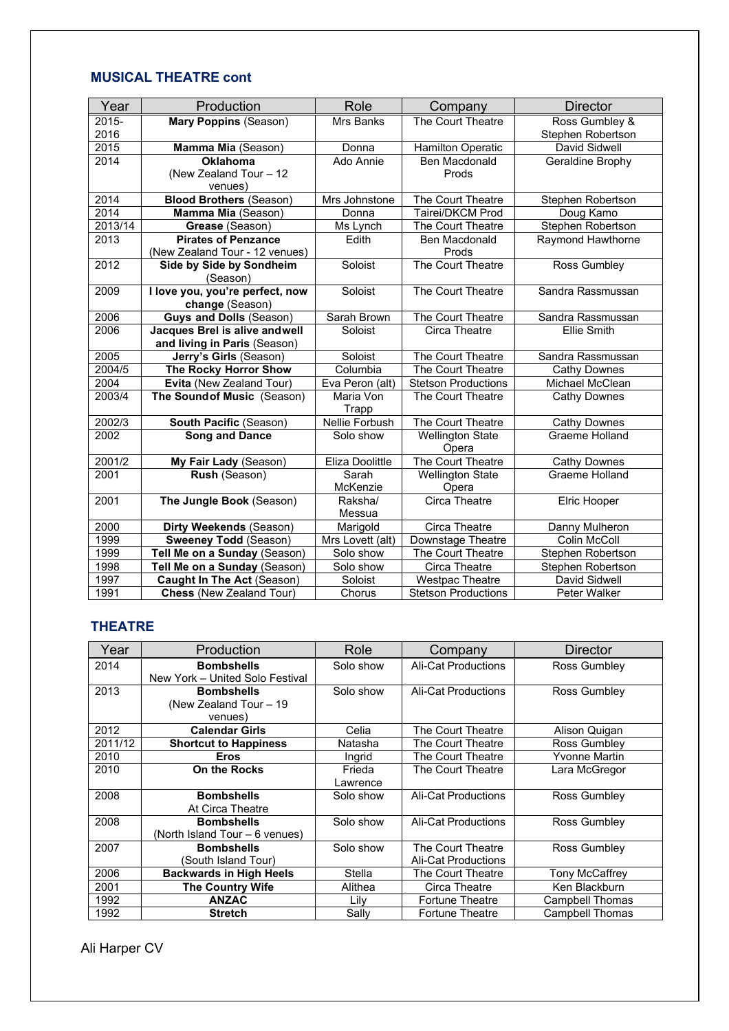# **MUSICAL THEATRE cont**

| Year          | Production                                                    | Role                  | Company                          | <b>Director</b>                     |
|---------------|---------------------------------------------------------------|-----------------------|----------------------------------|-------------------------------------|
| 2015-<br>2016 | <b>Mary Poppins (Season)</b>                                  | Mrs Banks             | The Court Theatre                | Ross Gumbley &<br>Stephen Robertson |
| 2015          | Mamma Mia (Season)                                            | Donna                 | <b>Hamilton Operatic</b>         | David Sidwell                       |
| 2014          | <b>Oklahoma</b><br>(New Zealand Tour - 12<br>venues)          | Ado Annie             | Ben Macdonald<br>Prods           | Geraldine Brophy                    |
| 2014          | <b>Blood Brothers (Season)</b>                                | Mrs Johnstone         | The Court Theatre                | Stephen Robertson                   |
| 2014          | Mamma Mia (Season)                                            | Donna                 | Tairei/DKCM Prod                 | Doug Kamo                           |
| 2013/14       | Grease (Season)                                               | Ms Lynch              | The Court Theatre                | Stephen Robertson                   |
| 2013          | <b>Pirates of Penzance</b><br>(New Zealand Tour - 12 venues)  | Edith                 | <b>Ben Macdonald</b><br>Prods    | Raymond Hawthorne                   |
| 2012          | Side by Side by Sondheim<br>(Season)                          | Soloist               | The Court Theatre                | Ross Gumbley                        |
| 2009          | I love you, you're perfect, now<br>change (Season)            | Soloist               | The Court Theatre                | Sandra Rassmussan                   |
| 2006          | <b>Guys and Dolls (Season)</b>                                | Sarah Brown           | The Court Theatre                | Sandra Rassmussan                   |
| 2006          | Jacques Brel is alive andwell<br>and living in Paris (Season) | Soloist               | Circa Theatre                    | <b>Ellie Smith</b>                  |
| 2005          | Jerry's Girls (Season)                                        | Soloist               | The Court Theatre                | Sandra Rassmussan                   |
| 2004/5        | The Rocky Horror Show                                         | Columbia              | The Court Theatre                | <b>Cathy Downes</b>                 |
| 2004          | Evita (New Zealand Tour)                                      | Eva Peron (alt)       | <b>Stetson Productions</b>       | Michael McClean                     |
| 2003/4        | The Sound of Music (Season)                                   | Maria Von<br>Trapp    | The Court Theatre                | <b>Cathy Downes</b>                 |
| 2002/3        | South Pacific (Season)                                        | <b>Nellie Forbush</b> | The Court Theatre                | <b>Cathy Downes</b>                 |
| 2002          | <b>Song and Dance</b>                                         | Solo show             | <b>Wellington State</b><br>Opera | Graeme Holland                      |
| 2001/2        | My Fair Lady (Season)                                         | Eliza Doolittle       | The Court Theatre                | <b>Cathy Downes</b>                 |
| 2001          | Rush (Season)                                                 | Sarah<br>McKenzie     | <b>Wellington State</b><br>Opera | Graeme Holland                      |
| 2001          | The Jungle Book (Season)                                      | Raksha/<br>Messua     | Circa Theatre                    | Elric Hooper                        |
| 2000          | Dirty Weekends (Season)                                       | Marigold              | Circa Theatre                    | Danny Mulheron                      |
| 1999          | <b>Sweeney Todd (Season)</b>                                  | Mrs Lovett (alt)      | Downstage Theatre                | Colin McColl                        |
| 1999          | Tell Me on a Sunday (Season)                                  | Solo show             | The Court Theatre                | Stephen Robertson                   |
| 1998          | Tell Me on a Sunday (Season)                                  | Solo show             | <b>Circa Theatre</b>             | Stephen Robertson                   |
| 1997          | <b>Caught In The Act (Season)</b>                             | Soloist               | <b>Westpac Theatre</b>           | David Sidwell                       |
| 1991          | <b>Chess (New Zealand Tour)</b>                               | Chorus                | <b>Stetson Productions</b>       | Peter Walker                        |

#### **THEATRE**

| Year    | Production                      | Role      | Company                    | Director             |
|---------|---------------------------------|-----------|----------------------------|----------------------|
| 2014    | <b>Bombshells</b>               | Solo show | <b>Ali-Cat Productions</b> | Ross Gumbley         |
|         | New York - United Solo Festival |           |                            |                      |
| 2013    | <b>Bombshells</b>               | Solo show | Ali-Cat Productions        | Ross Gumbley         |
|         | (New Zealand Tour - 19)         |           |                            |                      |
|         | venues)                         |           |                            |                      |
| 2012    | <b>Calendar Girls</b>           | Celia     | The Court Theatre          | Alison Quigan        |
| 2011/12 | <b>Shortcut to Happiness</b>    | Natasha   | The Court Theatre          | Ross Gumbley         |
| 2010    | <b>Eros</b>                     | Ingrid    | The Court Theatre          | <b>Yvonne Martin</b> |
| 2010    | On the Rocks                    | Frieda    | The Court Theatre          | Lara McGregor        |
|         |                                 | Lawrence  |                            |                      |
| 2008    | <b>Bombshells</b>               | Solo show | Ali-Cat Productions        | Ross Gumbley         |
|         | At Circa Theatre                |           |                            |                      |
| 2008    | <b>Bombshells</b>               | Solo show | Ali-Cat Productions        | Ross Gumbley         |
|         | (North Island Tour - 6 venues)  |           |                            |                      |
| 2007    | <b>Bombshells</b>               | Solo show | The Court Theatre          | Ross Gumbley         |
|         | (South Island Tour)             |           | <b>Ali-Cat Productions</b> |                      |
| 2006    | <b>Backwards in High Heels</b>  | Stella    | The Court Theatre          | Tony McCaffrey       |
| 2001    | <b>The Country Wife</b>         | Alithea   | Circa Theatre              | Ken Blackburn        |
| 1992    | <b>ANZAC</b>                    | Lily      | <b>Fortune Theatre</b>     | Campbell Thomas      |
| 1992    | <b>Stretch</b>                  | Sally     | <b>Fortune Theatre</b>     | Campbell Thomas      |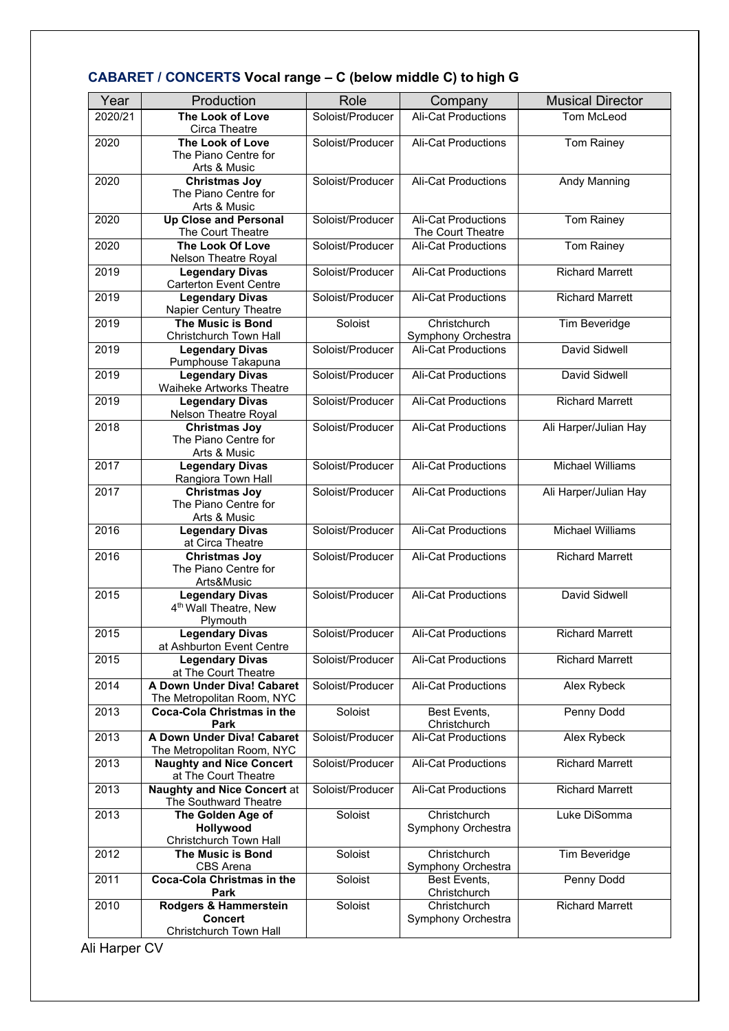| Year    | Production                                                      | Role             | Company                                         | <b>Musical Director</b> |
|---------|-----------------------------------------------------------------|------------------|-------------------------------------------------|-------------------------|
| 2020/21 | The Look of Love                                                | Soloist/Producer | <b>Ali-Cat Productions</b>                      | Tom McLeod              |
| 2020    | Circa Theatre<br>The Look of Love                               | Soloist/Producer | <b>Ali-Cat Productions</b>                      | Tom Rainey              |
|         | The Piano Centre for                                            |                  |                                                 |                         |
| 2020    | Arts & Music<br><b>Christmas Joy</b>                            | Soloist/Producer | <b>Ali-Cat Productions</b>                      | Andy Manning            |
|         | The Piano Centre for                                            |                  |                                                 |                         |
|         | Arts & Music                                                    |                  |                                                 |                         |
| 2020    | <b>Up Close and Personal</b><br>The Court Theatre               | Soloist/Producer | <b>Ali-Cat Productions</b><br>The Court Theatre | Tom Rainey              |
| 2020    | The Look Of Love                                                | Soloist/Producer | <b>Ali-Cat Productions</b>                      | Tom Rainey              |
|         | Nelson Theatre Royal                                            |                  |                                                 |                         |
| 2019    | <b>Legendary Divas</b><br><b>Carterton Event Centre</b>         | Soloist/Producer | Ali-Cat Productions                             | <b>Richard Marrett</b>  |
| 2019    | <b>Legendary Divas</b>                                          | Soloist/Producer | Ali-Cat Productions                             | <b>Richard Marrett</b>  |
| 2019    | Napier Century Theatre<br><b>The Music is Bond</b>              | Soloist          | Christchurch                                    |                         |
|         | Christchurch Town Hall                                          |                  | Symphony Orchestra                              | Tim Beveridge           |
| 2019    | <b>Legendary Divas</b>                                          | Soloist/Producer | <b>Ali-Cat Productions</b>                      | David Sidwell           |
| 2019    | Pumphouse Takapuna<br><b>Legendary Divas</b>                    | Soloist/Producer | <b>Ali-Cat Productions</b>                      | David Sidwell           |
|         | Waiheke Artworks Theatre                                        |                  |                                                 |                         |
| 2019    | <b>Legendary Divas</b><br>Nelson Theatre Royal                  | Soloist/Producer | <b>Ali-Cat Productions</b>                      | <b>Richard Marrett</b>  |
| 2018    | <b>Christmas Joy</b>                                            | Soloist/Producer | Ali-Cat Productions                             | Ali Harper/Julian Hay   |
|         | The Piano Centre for                                            |                  |                                                 |                         |
| 2017    | Arts & Music<br><b>Legendary Divas</b>                          | Soloist/Producer | <b>Ali-Cat Productions</b>                      | <b>Michael Williams</b> |
|         | Rangiora Town Hall                                              |                  |                                                 |                         |
| 2017    | Christmas Joy                                                   | Soloist/Producer | <b>Ali-Cat Productions</b>                      | Ali Harper/Julian Hay   |
|         | The Piano Centre for<br>Arts & Music                            |                  |                                                 |                         |
| 2016    | <b>Legendary Divas</b><br>at Circa Theatre                      | Soloist/Producer | <b>Ali-Cat Productions</b>                      | <b>Michael Williams</b> |
| 2016    | <b>Christmas Joy</b>                                            | Soloist/Producer | Ali-Cat Productions                             | <b>Richard Marrett</b>  |
|         | The Piano Centre for<br>Arts&Music                              |                  |                                                 |                         |
| 2015    | <b>Legendary Divas</b>                                          | Soloist/Producer | <b>Ali-Cat Productions</b>                      | David Sidwell           |
|         | 4 <sup>th</sup> Wall Theatre, New                               |                  |                                                 |                         |
| 2015    | Plymouth<br><b>Legendary Divas</b>                              | Soloist/Producer | Ali-Cat Productions                             | <b>Richard Marrett</b>  |
|         | at Ashburton Event Centre                                       |                  |                                                 |                         |
| 2015    | <b>Legendary Divas</b><br>at The Court Theatre                  | Soloist/Producer | <b>Ali-Cat Productions</b>                      | <b>Richard Marrett</b>  |
| 2014    | A Down Under Diva! Cabaret                                      | Soloist/Producer | <b>Ali-Cat Productions</b>                      | Alex Rybeck             |
| 2013    | The Metropolitan Room, NYC<br><b>Coca-Cola Christmas in the</b> | Soloist          | Best Events,                                    | Penny Dodd              |
|         | Park                                                            |                  | Christchurch                                    |                         |
| 2013    | A Down Under Diva! Cabaret<br>The Metropolitan Room, NYC        | Soloist/Producer | <b>Ali-Cat Productions</b>                      | Alex Rybeck             |
| 2013    | <b>Naughty and Nice Concert</b><br>at The Court Theatre         | Soloist/Producer | Ali-Cat Productions                             | <b>Richard Marrett</b>  |
| 2013    | <b>Naughty and Nice Concert at</b>                              | Soloist/Producer | Ali-Cat Productions                             | <b>Richard Marrett</b>  |
| 2013    | The Southward Theatre<br>The Golden Age of                      | Soloist          | Christchurch                                    | Luke DiSomma            |
|         | Hollywood                                                       |                  | Symphony Orchestra                              |                         |
| 2012    | Christchurch Town Hall<br><b>The Music is Bond</b>              | Soloist          | Christchurch                                    | Tim Beveridge           |
|         | CBS Arena                                                       |                  | Symphony Orchestra                              |                         |
| 2011    | <b>Coca-Cola Christmas in the</b>                               | Soloist          | Best Events,                                    | Penny Dodd              |
| 2010    | Park<br>Rodgers & Hammerstein                                   | Soloist          | Christchurch<br>Christchurch                    | <b>Richard Marrett</b>  |
|         | <b>Concert</b>                                                  |                  | Symphony Orchestra                              |                         |
|         | Christchurch Town Hall                                          |                  |                                                 |                         |

# **CABARET / CONCERTS Vocal range – C (below middle C) to high G**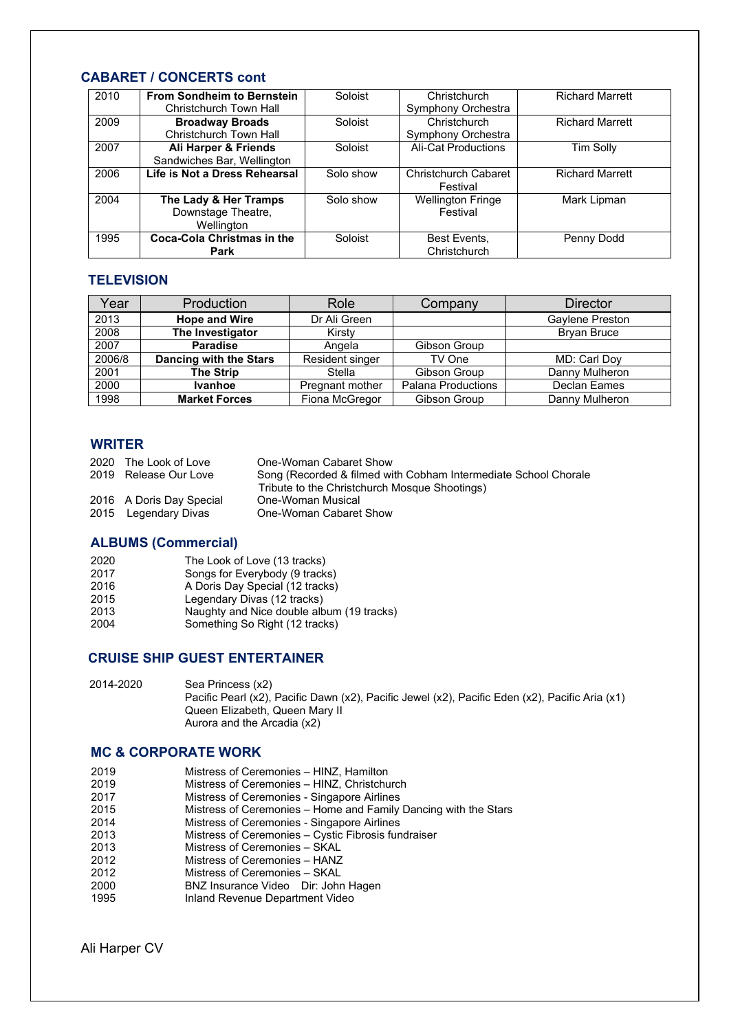# **CABARET / CONCERTS cont**

| 2010 | <b>From Sondheim to Bernstein</b><br>Christchurch Town Hall | Soloist   | Christchurch<br>Symphony Orchestra      | <b>Richard Marrett</b> |
|------|-------------------------------------------------------------|-----------|-----------------------------------------|------------------------|
| 2009 | <b>Broadway Broads</b><br>Christchurch Town Hall            | Soloist   | Christchurch<br>Symphony Orchestra      | <b>Richard Marrett</b> |
| 2007 | Ali Harper & Friends<br>Sandwiches Bar, Wellington          | Soloist   | <b>Ali-Cat Productions</b>              | <b>Tim Solly</b>       |
| 2006 | Life is Not a Dress Rehearsal                               | Solo show | <b>Christchurch Cabaret</b><br>Festival | <b>Richard Marrett</b> |
| 2004 | The Lady & Her Tramps<br>Downstage Theatre,<br>Wellington   | Solo show | <b>Wellington Fringe</b><br>Festival    | Mark Lipman            |
| 1995 | Coca-Cola Christmas in the<br>Park                          | Soloist   | Best Events,<br>Christchurch            | Penny Dodd             |

#### **TELEVISION**

| Year   | Production             | Role            | Company                   | <b>Director</b> |
|--------|------------------------|-----------------|---------------------------|-----------------|
| 2013   | <b>Hope and Wire</b>   | Dr Ali Green    |                           | Gavlene Preston |
| 2008   | The Investigator       | Kirstv          |                           | Bryan Bruce     |
| 2007   | <b>Paradise</b>        | Angela          | Gibson Group              |                 |
| 2006/8 | Dancing with the Stars | Resident singer | TV One                    | MD: Carl Doy    |
| 2001   | The Strip              | Stella          | Gibson Group              | Danny Mulheron  |
| 2000   | <b>Ivanhoe</b>         | Pregnant mother | <b>Palana Productions</b> | Declan Eames    |
| 1998   | <b>Market Forces</b>   | Fiona McGregor  | Gibson Group              | Danny Mulheron  |

#### **WRITER**

| 2020 The Look of Love    | One-Woman Cabaret Show                                          |
|--------------------------|-----------------------------------------------------------------|
| 2019 Release Our Love    | Song (Recorded & filmed with Cobham Intermediate School Chorale |
|                          | Tribute to the Christchurch Mosque Shootings)                   |
| 2016 A Doris Day Special | One-Woman Musical                                               |
| 2015 Legendary Divas     | One-Woman Cabaret Show                                          |

#### **ALBUMS (Commercial)**

| 2020 | The Look of Love (13 tracks)              |
|------|-------------------------------------------|
| 2017 | Songs for Everybody (9 tracks)            |
| 2016 | A Doris Day Special (12 tracks)           |
| 2015 | Legendary Divas (12 tracks)               |
| 2013 | Naughty and Nice double album (19 tracks) |
| 2004 | Something So Right (12 tracks)            |

#### **CRUISE SHIP GUEST ENTERTAINER**

| 2014-2020 | Sea Princess (x2)                                                                               |
|-----------|-------------------------------------------------------------------------------------------------|
|           | Pacific Pearl (x2), Pacific Dawn (x2), Pacific Jewel (x2), Pacific Eden (x2), Pacific Aria (x1) |
|           | Queen Elizabeth, Queen Mary II                                                                  |
|           | Aurora and the Arcadia (x2)                                                                     |

#### **MC & CORPORATE WORK**

- 2019 Mistress of Ceremonies – HINZ, Christchurch
- 2017<br>2015 Mistress of Ceremonies - Singapore Airlines
- 2015 Mistress of Ceremonies Home and Family Dancing with the Stars<br>2014 Mistress of Ceremonies Singapore Airlines
- 2014 Mistress of Ceremonies Singapore Airlines<br>2013 Mistress of Ceremonies Cystic Fibrosis fun
- 2013 Mistress of Ceremonies Cystic Fibrosis fundraiser
- 2013 Mistress of Ceremonies SKAL<br>2012 Mistress of Ceremonies HANZ
- 2012 Mistress of Ceremonies HANZ
- 2012 Mistress of Ceremonies SKAL
- 2000 BNZ Insurance Video Dir: John Hagen
- Inland Revenue Department Video